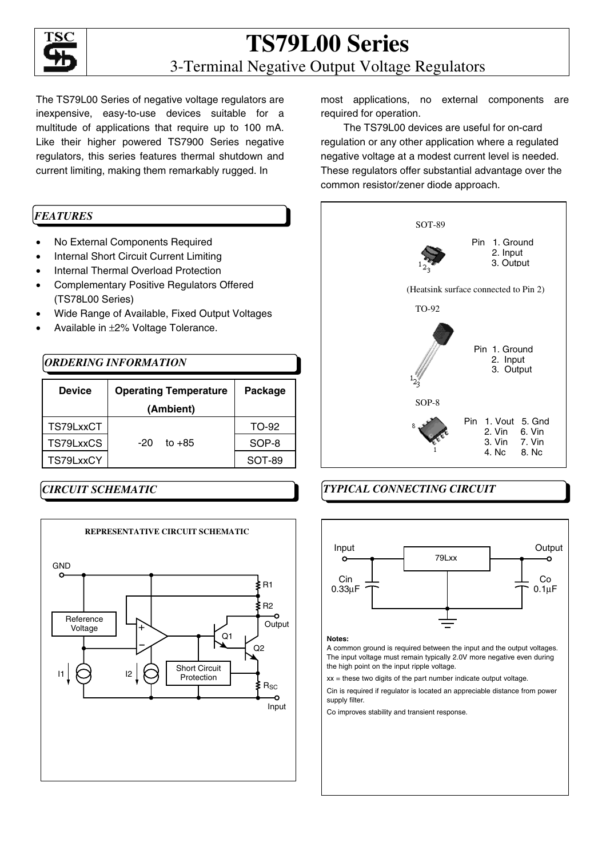

### **TS79L00 Series**  3-Terminal Negative Output Voltage Regulators

The TS79L00 Series of negative voltage regulators are inexpensive, easy-to-use devices suitable for a multitude of applications that require up to 100 mA. Like their higher powered TS7900 Series negative regulators, this series features thermal shutdown and current limiting, making them remarkably rugged. In

### *FEATURES*

- No External Components Required
- Internal Short Circuit Current Limiting
- Internal Thermal Overload Protection
- Complementary Positive Regulators Offered (TS78L00 Series)
- Wide Range of Available, Fixed Output Voltages
- Available in ±2% Voltage Tolerance.

### *ORDERING INFORMATION*

| <b>Device</b> | <b>Operating Temperature</b><br>(Ambient) | Package |
|---------------|-------------------------------------------|---------|
| TS79LxxCT     |                                           | TO-92   |
| TS79LxxCS     | $to +85$<br>-20                           | SOP-8   |
| TS79LxxCY     |                                           | SOT-89  |

### *CIRCUIT SCHEMATIC*



most applications, no external components are required for operation.

The TS79L00 devices are useful for on-card regulation or any other application where a regulated negative voltage at a modest current level is needed. These regulators offer substantial advantage over the common resistor/zener diode approach.



### *TYPICAL CONNECTING CIRCUIT*



### **Notes:**

A common ground is required between the input and the output voltages. the high point on the input ripple voltage. The input voltage must remain typically 2.0V more negative even during

xx = these two digits of the part number indicate output voltage.

Cin is required if regulator is located an appreciable distance from power supply filter.

ncreases<br>Co improves stability and transient response.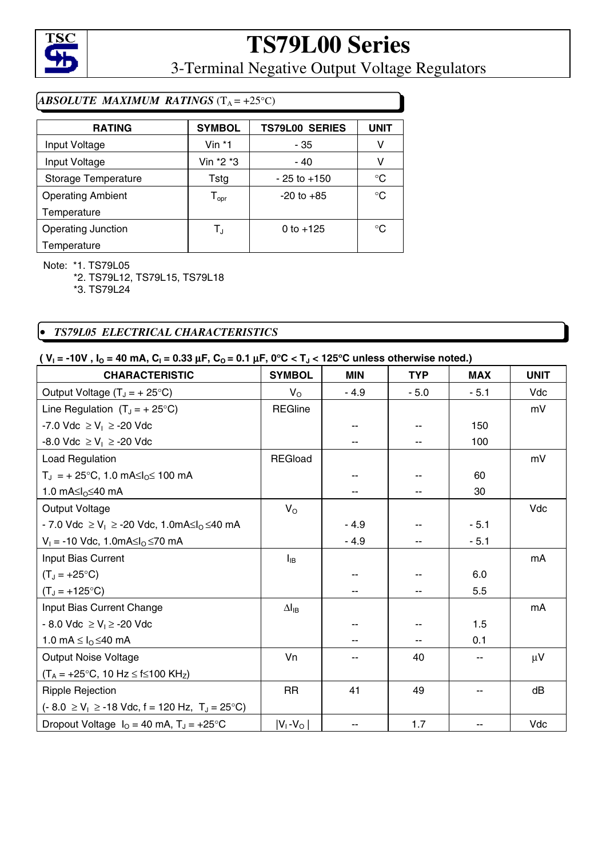

3-Terminal Negative Output Voltage Regulators

### *ABSOLUTE MAXIMUM RATINGS*  $(T_A = +25^{\circ}C)$

| <b>RATING</b>             | <b>SYMBOL</b>                | <b>TS79L00 SERIES</b> | <b>UNIT</b>  |
|---------------------------|------------------------------|-----------------------|--------------|
| Input Voltage             | Vin $*1$                     | - 35                  | ν            |
| Input Voltage             | Vin *2 *3                    | - 40                  | ٧            |
| Storage Temperature       | Tstg                         | $-25$ to $+150$       | $^{\circ}C$  |
| <b>Operating Ambient</b>  | ${\mathsf T}_{\textsf{opr}}$ | $-20$ to $+85$        | $^{\circ}C$  |
| Temperature               |                              |                       |              |
| <b>Operating Junction</b> | T,                           | 0 to $+125$           | $^{\circ}$ C |
| Temperature               |                              |                       |              |

Note: \*1. TS79L05

\*2. TS79L12, TS79L15, TS79L18

\*3. TS79L24

### • *TS79L05 ELECTRICAL CHARACTERISTICS*

### $(V_1 = -10V, I_0 = 40 \text{ mA}, C_1 = 0.33 \mu\text{F}, C_0 = 0.1 \mu\text{F}, 0^{\circ}\text{C} < T_1 < 125^{\circ}\text{C}$  unless otherwise noted.)

| <b>CHARACTERISTIC</b>                                             | <b>SYMBOL</b>   | <b>MIN</b> | <b>TYP</b> | <b>MAX</b> | <b>UNIT</b> |
|-------------------------------------------------------------------|-----------------|------------|------------|------------|-------------|
| Output Voltage $(T_J = + 25^{\circ}C)$                            | $V_{\rm O}$     | $-4.9$     | $-5.0$     | $-5.1$     | Vdc         |
| Line Regulation $(T_J = + 25$ °C)                                 | <b>REGline</b>  |            |            |            | mV          |
| -7.0 Vdc ≥ V <sub>1</sub> ≥ -20 Vdc                               |                 |            |            | 150        |             |
| -8.0 Vdc ≥ V <sub>1</sub> ≥ -20 Vdc                               |                 |            |            | 100        |             |
| Load Regulation                                                   | <b>REGload</b>  |            |            |            | mV          |
| $T_J = +25$ °C, 1.0 mA $\leq l_0 \leq 100$ mA                     |                 |            |            | 60         |             |
| 1.0 $mA \leq l_0 \leq 40$ mA                                      |                 |            |            | 30         |             |
| <b>Output Voltage</b>                                             | $V_{\rm O}$     |            |            |            | Vdc         |
| - 7.0 Vdc ≥ V <sub>1</sub> ≥ -20 Vdc, 1.0mA≤l <sub>0</sub> ≤40 mA |                 | $-4.9$     |            | $-5.1$     |             |
| $V_1$ = -10 Vdc, 1.0mA≤l <sub>0</sub> ≤70 mA                      |                 | $-4.9$     |            | $-5.1$     |             |
| Input Bias Current                                                | $I_{IB}$        |            |            |            | mA          |
| $(T_J = +25^{\circ}C)$                                            |                 |            |            | 6.0        |             |
| $(T_J = +125^{\circ}C)$                                           |                 |            |            | 5.5        |             |
| Input Bias Current Change                                         | $\Delta I_{IB}$ |            |            |            | mA          |
| - 8.0 Vdc ≥ V <sub>i</sub> ≥ -20 Vdc                              |                 |            |            | 1.5        |             |
| 1.0 mA $\leq$ $I_{\odot}$ $\leq$ 40 mA                            |                 |            |            | 0.1        |             |
| <b>Output Noise Voltage</b>                                       | Vn              |            | 40         | --         | $\mu$ V     |
| $(T_A = +25^{\circ}C, 10 Hz \le f \le 100 kHz)$                   |                 |            |            |            |             |
| <b>Ripple Rejection</b>                                           | <b>RR</b>       | 41         | 49         | --         | dB          |
| $(-8.0 \ge V_1 \ge -18$ Vdc, f = 120 Hz, T <sub>J</sub> = 25 °C)  |                 |            |            |            |             |
| Dropout Voltage $I_0 = 40$ mA, $T_J = +25$ °C                     | $ V_1 - V_0 $   |            | 1.7        |            | Vdc         |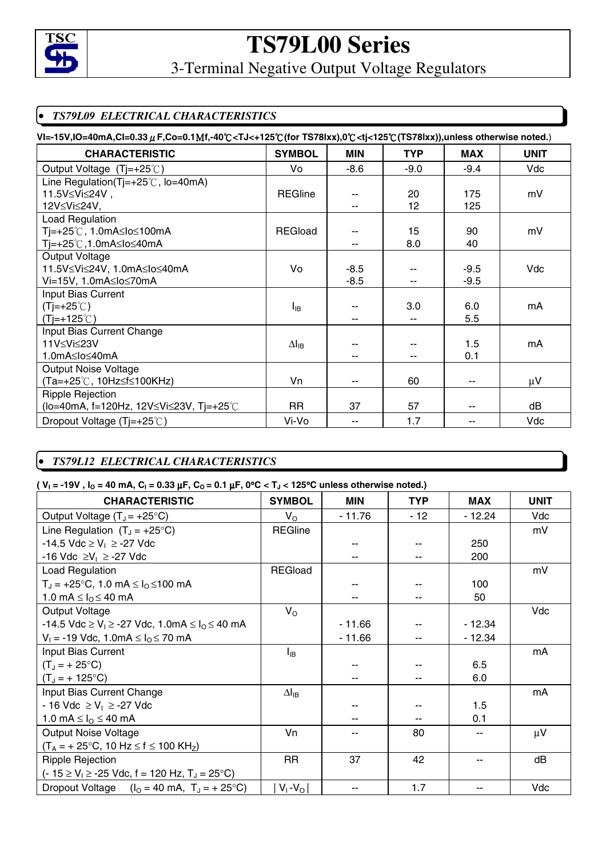

3-Terminal Negative Output Voltage Regulators

### • *TS79L09 ELECTRICAL CHARACTERISTICS*

| VI=-15V,IO=40mA,CI=0.33 µF,Co=0.1Mf,-40°C <tj<+125°c(for noted.)<="" otherwise="" th="" ts78ixx),0°c<tj<125°c(ts78ixx)),unless=""></tj<+125°c(for> |                 |        |            |            |             |  |
|----------------------------------------------------------------------------------------------------------------------------------------------------|-----------------|--------|------------|------------|-------------|--|
| <b>CHARACTERISTIC</b>                                                                                                                              | <b>SYMBOL</b>   | MIN    | <b>TYP</b> | <b>MAX</b> | <b>UNIT</b> |  |
| Output Voltage (Tj=+25°C)                                                                                                                          | Vo              | $-8.6$ | $-9.0$     | $-9.4$     | Vdc         |  |
| Line Regulation(Tj=+25 $\degree$ C, lo=40mA)                                                                                                       |                 |        |            |            |             |  |
| 11.5V≤Vi≤24V,                                                                                                                                      | <b>REGline</b>  |        | 20         | 175        | mV          |  |
| 12V≤Vi≤24V,                                                                                                                                        |                 |        | 12         | 125        |             |  |
| Load Regulation                                                                                                                                    |                 |        |            |            |             |  |
| Tj=+25℃, 1.0mA≤lo≤100mA                                                                                                                            | <b>REGload</b>  | ۰.     | 15         | 90         | mV          |  |
| Tj=+25℃,1.0mA≤lo≤40mA                                                                                                                              |                 | $-$    | 8.0        | 40         |             |  |
| <b>Output Voltage</b>                                                                                                                              |                 |        |            |            |             |  |
| 11.5V≤Vi≤24V, 1.0mA≤lo≤40mA                                                                                                                        | Vo              | $-8.5$ |            | $-9.5$     | Vdc         |  |
| Vi=15V, 1.0mA≤lo≤70mA                                                                                                                              |                 | $-8.5$ |            | $-9.5$     |             |  |
| Input Bias Current                                                                                                                                 |                 |        |            |            |             |  |
| $(Tj=+25^{\circ}C)$                                                                                                                                | $I_{IB}$        |        | 3.0        | 6.0        | mA          |  |
| $(T=+125^{\circ}C)$                                                                                                                                |                 | --     |            | 5.5        |             |  |
| Input Bias Current Change                                                                                                                          |                 |        |            |            |             |  |
| 11V≤Vi≤23V                                                                                                                                         | $\Delta I_{IB}$ |        |            | 1.5        | mA          |  |
| 1.0mA≤lo≤40mA                                                                                                                                      |                 |        |            | 0.1        |             |  |
| <b>Output Noise Voltage</b>                                                                                                                        |                 |        |            |            |             |  |
| (Ta=+25℃, 10Hz≤f≤100KHz)                                                                                                                           | Vn              | --     | 60         | --         | $\mu$ V     |  |
| <b>Ripple Rejection</b>                                                                                                                            |                 |        |            |            |             |  |
| (lo=40mA, f=120Hz, 12V≤Vi≤23V, Tj=+25℃                                                                                                             | <b>RR</b>       | 37     | 57         | --         | dB          |  |
| Dropout Voltage (Tj=+25℃)                                                                                                                          | Vi-Vo           | --     | 1.7        |            | Vdc         |  |

### • *TS79L12 ELECTRICAL CHARACTERISTICS*

### $(V_1 = -19V$ ,  $I_0 = 40$  mA,  $C_1 = 0.33 \mu$ F,  $C_0 = 0.1 \mu$ F,  $0^{\circ}$ C < T<sub>J</sub> < 125<sup>°</sup>C unless otherwise noted.)

| <b>CHARACTERISTIC</b>                                              | <b>SYMBOL</b>        | <b>MIN</b> | <b>TYP</b> | <b>MAX</b> | <b>UNIT</b> |
|--------------------------------------------------------------------|----------------------|------------|------------|------------|-------------|
| Output Voltage $(T_J = +25^{\circ}C)$                              | $V_{\rm O}$          | $-11.76$   | $-12$      | - 12.24    | Vdc         |
| Line Regulation $(T_J = +25^{\circ}C)$                             | <b>REGline</b>       |            |            |            | mV          |
| -14.5 Vdc ≥ V <sub>i</sub> ≥ -27 Vdc                               |                      | --         |            | 250        |             |
| -16 Vdc ≥V <sub>1</sub> ≥ -27 Vdc                                  |                      | --         |            | 200        |             |
| Load Regulation                                                    | <b>REGload</b>       |            |            |            | mV          |
| $T_J = +25$ °C, 1.0 mA $\leq I_0 \leq 100$ mA                      |                      |            |            | 100        |             |
| 1.0 mA $\leq$ $I_{\odot}$ $\leq$ 40 mA                             |                      |            |            | 50         |             |
| Output Voltage                                                     | $V_{\rm O}$          |            |            |            | Vdc         |
| -14.5 Vdc ≥ V <sub>1</sub> ≥ -27 Vdc, 1.0mA ≤ $I_0$ ≤ 40 mA        |                      | $-11.66$   |            | $-12.34$   |             |
| $V_1 = -19$ Vdc, 1.0mA $\leq I_0 \leq 70$ mA                       |                      | $-11.66$   |            | $-12.34$   |             |
| Input Bias Current                                                 | $I_{IB}$             |            |            |            | mA          |
| $(T_1 = + 25^{\circ}C)$                                            |                      |            |            | 6.5        |             |
| $(T_J = + 125$ °C)                                                 |                      |            |            | 6.0        |             |
| Input Bias Current Change                                          | $\Delta I_{IB}$      |            |            |            | mA          |
| - 16 Vdc ≥ V <sub>i</sub> ≥ -27 Vdc                                |                      | --         |            | 1.5        |             |
| 1.0 mA $\leq I_0 \leq 40$ mA                                       |                      |            |            | 0.1        |             |
| <b>Output Noise Voltage</b>                                        | Vn                   |            | 80         |            | $\mu$ V     |
| $(T_A = +25$ °C, 10 Hz $\le$ f $\le$ 100 KH <sub>z</sub> )         |                      |            |            |            |             |
| <b>Ripple Rejection</b>                                            | <b>RR</b>            | 37         | 42         |            | dB          |
| $(-15 \ge V_1 \ge -25$ Vdc, f = 120 Hz, T <sub>J</sub> = 25 °C)    |                      |            |            |            |             |
| Dropout Voltage $(l_0 = 40 \text{ mA}, T_J = +25^{\circ}\text{C})$ | $V_1$ - $V_{\Omega}$ |            | 1.7        |            | Vdc         |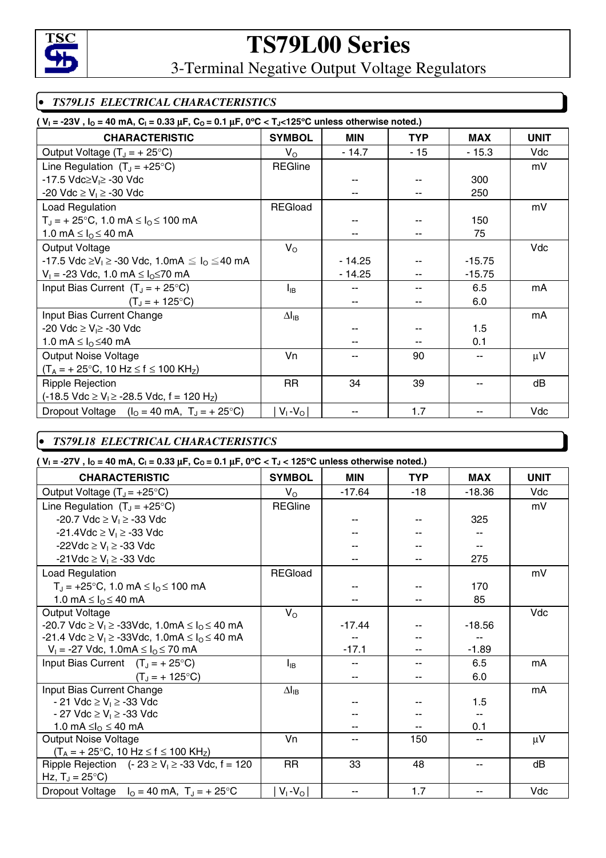

3-Terminal Negative Output Voltage Regulators

### • *TS79L15 ELECTRICAL CHARACTERISTICS*

| ( $V_1 = -23V$ , $I_0 = 40$ mA, $C_1 = 0.33 \mu F$ , $C_0 = 0.1 \mu F$ , $0^{\circ}C < T_0 < 125^{\circ}C$ unless otherwise noted.) |                 |                          |            |            |             |  |  |
|-------------------------------------------------------------------------------------------------------------------------------------|-----------------|--------------------------|------------|------------|-------------|--|--|
| <b>CHARACTERISTIC</b>                                                                                                               | <b>SYMBOL</b>   | <b>MIN</b>               | <b>TYP</b> | <b>MAX</b> | <b>UNIT</b> |  |  |
| Output Voltage $(T_J = +25^{\circ}C)$                                                                                               | $V_{\rm O}$     | - 14.7                   | - 15       | $-15.3$    | Vdc         |  |  |
| Line Regulation $(T_J = +25^{\circ}C)$                                                                                              | <b>REGline</b>  |                          |            |            | mV          |  |  |
| -17.5 Vdc≥V <sub>l</sub> ≥ -30 Vdc                                                                                                  |                 |                          |            | 300        |             |  |  |
| -20 Vdc ≥ V <sub>i</sub> ≥ -30 Vdc                                                                                                  |                 |                          |            | 250        |             |  |  |
| Load Regulation                                                                                                                     | <b>REGload</b>  |                          |            |            | mV          |  |  |
| $T_{J}$ = + 25°C, 1.0 mA $\leq I_{O} \leq 100$ mA                                                                                   |                 |                          |            | 150        |             |  |  |
| 1.0 mA $\leq$ $I_{\odot}$ $\leq$ 40 mA                                                                                              |                 |                          |            | 75         |             |  |  |
| Output Voltage                                                                                                                      | $V_{\rm O}$     |                          |            |            | Vdc         |  |  |
| -17.5 Vdc ≥V <sub>l</sub> ≥ -30 Vdc, 1.0mA $\leq I_0 \leq 40$ mA                                                                    |                 | $-14.25$                 |            | $-15.75$   |             |  |  |
| $V_1$ = -23 Vdc, 1.0 mA ≤ $I_0$ ≤70 mA                                                                                              |                 | $-14.25$                 |            | $-15.75$   |             |  |  |
| Input Bias Current $(T_J = +25^{\circ}C)$                                                                                           | $I_{IB}$        | --                       |            | 6.5        | mA          |  |  |
| $(T_J = + 125^{\circ}C)$                                                                                                            |                 | $\overline{\phantom{a}}$ |            | 6.0        |             |  |  |
| Input Bias Current Change                                                                                                           | $\Delta I_{IB}$ |                          |            |            | mA          |  |  |
| -20 Vdc ≥ V <sub>l</sub> ≥ -30 Vdc                                                                                                  |                 |                          |            | 1.5        |             |  |  |
| 1.0 mA $\leq$ $I_{\Omega}$ $\leq$ 40 mA                                                                                             |                 |                          |            | 0.1        |             |  |  |
| <b>Output Noise Voltage</b>                                                                                                         | Vn              |                          | 90         | --         | μV          |  |  |
| $(T_A = +25$ °C, 10 Hz $\le$ f $\le$ 100 KH <sub>z</sub> )                                                                          |                 |                          |            |            |             |  |  |
| <b>Ripple Rejection</b>                                                                                                             | RR              | 34                       | 39         |            | dB          |  |  |
| $(-18.5 \text{ Vdc} \ge V_1 \ge -28.5 \text{ Vdc}, f = 120 \text{ H}_2)$                                                            |                 |                          |            |            |             |  |  |
| Dropout Voltage $(l_0 = 40 \text{ mA}, T_J = +25^{\circ}\text{C})$                                                                  | $V_1$ - $V_0$   | --                       | 1.7        | --         | Vdc         |  |  |

### • *TS79L18 ELECTRICAL CHARACTERISTICS*

**( VI = -27V , IO = 40 mA, CI = 0.33** µ**F, CO = 0.1** µ**F, 0**°**C < TJ < 125**°**C unless otherwise noted.)** 

| <b>CHARACTERISTIC</b>                                               | <b>SYMBOL</b>   | <b>MIN</b> | <b>TYP</b> | <b>MAX</b> | <b>UNIT</b> |
|---------------------------------------------------------------------|-----------------|------------|------------|------------|-------------|
| Output Voltage $(T_J = +25^{\circ}C)$                               | $V_{\rm O}$     | $-17.64$   | $-18$      | $-18.36$   | Vdc         |
| Line Regulation $(T_J = +25^{\circ}C)$                              | <b>REGline</b>  |            |            |            | mV          |
| -20.7 Vdc ≥ V <sub>i</sub> ≥ -33 Vdc                                |                 |            |            | 325        |             |
| -21.4Vdc ≥ V <sub>i</sub> ≥ -33 Vdc                                 |                 |            |            |            |             |
| -22Vdc $\geq$ V <sub>1</sub> $\geq$ -33 Vdc                         |                 |            |            |            |             |
| -21 Vdc ≥ V <sub>1</sub> ≥ -33 Vdc                                  |                 |            |            | 275        |             |
| Load Regulation                                                     | <b>REGload</b>  |            |            |            | mV          |
| $T_J = +25$ °C, 1.0 mA $\leq I_O \leq 100$ mA                       |                 |            |            | 170        |             |
| 1.0 mA $\leq$ $Io \leq$ 40 mA                                       |                 |            |            | 85         |             |
| Output Voltage                                                      | $V_{\rm O}$     |            |            |            | Vdc         |
| -20.7 Vdc ≥ V <sub>1</sub> ≥ -33Vdc, 1.0mA ≤ I <sub>0</sub> ≤ 40 mA |                 | $-17.44$   |            | $-18.56$   |             |
| -21.4 Vdc ≥ V <sub>1</sub> ≥ -33Vdc, 1.0mA ≤ I <sub>0</sub> ≤ 40 mA |                 |            |            |            |             |
| $V_1 = -27$ Vdc, 1.0mA $\leq I_0 \leq 70$ mA                        |                 | $-17.1$    |            | $-1.89$    |             |
| Input Bias Current $(T_J = +25^{\circ}C)$                           | $I_{IB}$        |            |            | 6.5        | mA          |
| $(T_J = + 125$ °C)                                                  |                 |            |            | 6.0        |             |
| Input Bias Current Change                                           | $\Delta I_{IB}$ |            |            |            | mA          |
| - 21 Vdc ≥ V <sub>i</sub> ≥ -33 Vdc                                 |                 |            |            | 1.5        |             |
| - 27 Vdc ≥ V <sub>i</sub> ≥ -33 Vdc                                 |                 |            |            |            |             |
| 1.0 mA ≤ $I_0$ ≤ 40 mA                                              |                 |            |            | 0.1        |             |
| <b>Output Noise Voltage</b>                                         | Vn              |            | 150        |            | $\mu$ V     |
| $(T_A = +25$ °C, 10 Hz $\le$ f $\le$ 100 KH <sub>z</sub> )          |                 |            |            |            |             |
| Ripple Rejection $(-23 \ge V_1 \ge -33$ Vdc, f = 120                | <b>RR</b>       | 33         | 48         | --         | dB          |
| Hz, $T_J = 25^{\circ}C$ )                                           |                 |            |            |            |             |
| Dropout Voltage $I_0 = 40$ mA, $T_J = +25$ °C                       | $V_1$ - $V_0$   | --         | 1.7        |            | Vdc         |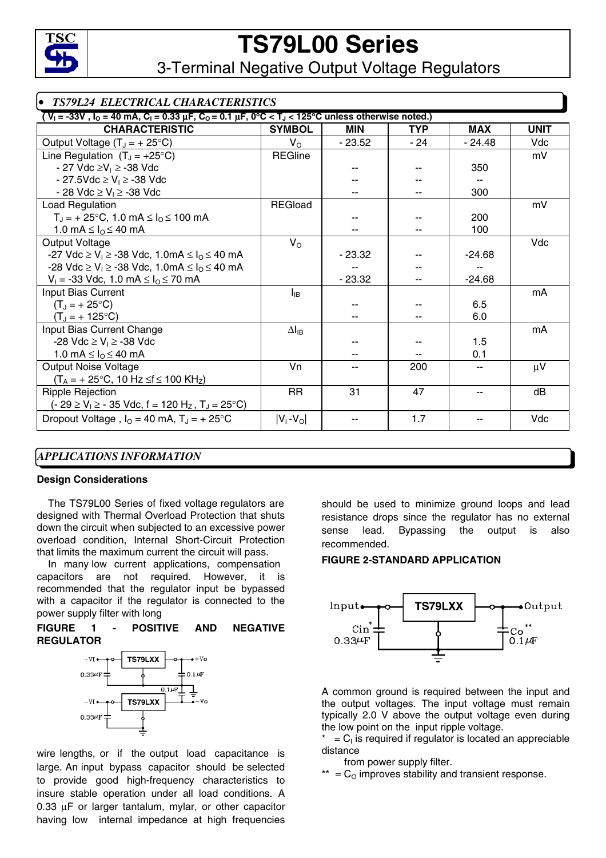

3-Terminal Negative Output Voltage Regulators

| • TS79L24 ELECTRICAL CHARACTERISTICS                                                                                                  |                 |            |            |            |             |  |  |
|---------------------------------------------------------------------------------------------------------------------------------------|-----------------|------------|------------|------------|-------------|--|--|
| $V_1$ = -33V, $I_0$ = 40 mA, C <sub>1</sub> = 0.33 µF, C <sub>0</sub> = 0.1 µF, 0°C < T <sub>J</sub> < 125°C unless otherwise noted.) |                 |            |            |            |             |  |  |
| <b>CHARACTERISTIC</b>                                                                                                                 | <b>SYMBOL</b>   | <b>MIN</b> | <b>TYP</b> | <b>MAX</b> | <b>UNIT</b> |  |  |
| Output Voltage $(T_J = + 25^{\circ}C)$                                                                                                | $V_{\rm O}$     | $-23.52$   | - 24       | $-24.48$   | Vdc         |  |  |
| Line Regulation $(T_J = +25^{\circ}C)$                                                                                                | <b>REGline</b>  |            |            |            | mV          |  |  |
| - 27 Vdc ≥V <sub>i</sub> ≥ -38 Vdc                                                                                                    |                 |            |            | 350        |             |  |  |
| - 27.5Vdc ≥ V <sub>1</sub> ≥ -38 Vdc                                                                                                  |                 |            |            | $-$        |             |  |  |
| - 28 Vdc ≥ V <sub>i</sub> ≥ -38 Vdc                                                                                                   |                 |            |            | 300        |             |  |  |
| <b>Load Regulation</b>                                                                                                                | <b>REGload</b>  |            |            |            | mV          |  |  |
| $T_J = +25$ °C, 1.0 mA $\leq I_O \leq 100$ mA                                                                                         |                 |            |            | 200        |             |  |  |
| 1.0 mA $\leq$ $I_{\Omega}$ $\leq$ 40 mA                                                                                               |                 |            |            | 100        |             |  |  |
| Output Voltage                                                                                                                        | $V_{\rm O}$     |            |            |            | Vdc         |  |  |
| -27 Vdc ≥ V <sub>1</sub> ≥ -38 Vdc, 1.0mA ≤ I <sub>0</sub> ≤ 40 mA                                                                    |                 | $-23.32$   |            | $-24.68$   |             |  |  |
| -28 Vdc ≥ V <sub>1</sub> ≥ -38 Vdc, 1.0mA ≤ I <sub>0</sub> ≤ 40 mA                                                                    |                 |            |            |            |             |  |  |
| $V_1 = -33$ Vdc, 1.0 mA $\leq I_0 \leq 70$ mA                                                                                         |                 | $-23.32$   |            | $-24.68$   |             |  |  |
| Input Bias Current                                                                                                                    | $I_{IB}$        |            |            |            | mA          |  |  |
| $(T_J = +25$ °C)                                                                                                                      |                 |            |            | 6.5        |             |  |  |
| $(T_J = + 125$ °C)                                                                                                                    |                 |            |            | 6.0        |             |  |  |
| Input Bias Current Change                                                                                                             | $\Delta I_{IB}$ |            |            |            | mA          |  |  |
| -28 Vdc ≥ V <sub>i</sub> ≥ -38 Vdc                                                                                                    |                 |            |            | 1.5        |             |  |  |
| 1.0 mA $\leq$ $I_{\odot}$ $\leq$ 40 mA                                                                                                |                 |            |            | 0.1        |             |  |  |
| <b>Output Noise Voltage</b>                                                                                                           | Vn              | --         | 200        | --         | $\mu$ V     |  |  |
| $(T_A = +25$ °C, 10 Hz ≤f ≤ 100 KH <sub>Z</sub> )                                                                                     |                 |            |            |            |             |  |  |
| <b>Ripple Rejection</b>                                                                                                               | <b>RR</b>       | 31         | 47         | --         | dB          |  |  |
| $(-29 \ge V_1 \ge -35$ Vdc, f = 120 H <sub>z</sub> , T <sub>J</sub> = 25 °C)                                                          |                 |            |            |            |             |  |  |
| Dropout Voltage, $I_0 = 40$ mA, $T_J = +25$ °C                                                                                        | $ V_1 - V_0 $   |            | 1.7        |            | Vdc         |  |  |

### *APPLICATIONS INFORMATION*

#### **Design Considerations**

 The TS79L00 Series of fixed voltage regulators are designed with Thermal Overload Protection that shuts down the circuit when subjected to an excessive power overload condition, Internal Short-Circuit Protection that limits the maximum current the circuit will pass.

 In many low current applications, compensation capacitors are not required. However, it is recommended that the regulator input be bypassed with a capacitor if the regulator is connected to the power supply filter with long

#### **FIGURE 1 - POSITIVE AND NEGATIVE REGULATOR**



wire lengths, or if the output load capacitance is large. An input bypass capacitor should be selected to provide good high-frequency characteristics to insure stable operation under all load conditions. A 0.33 µF or larger tantalum, mylar, or other capacitor having low internal impedance at high frequencies should be used to minimize ground loops and lead resistance drops since the regulator has no external sense lead. Bypassing the output is also recommended.

### **FIGURE 2-STANDARD APPLICATION**



A common ground is required between the input and the output voltages. The input voltage must remain typically 2.0 V above the output voltage even during the low point on the input ripple voltage.

 $= C<sub>1</sub>$  is required if regulator is located an appreciable distance

from power supply filter.

 $*$  =  $C<sub>o</sub>$  improves stability and transient response.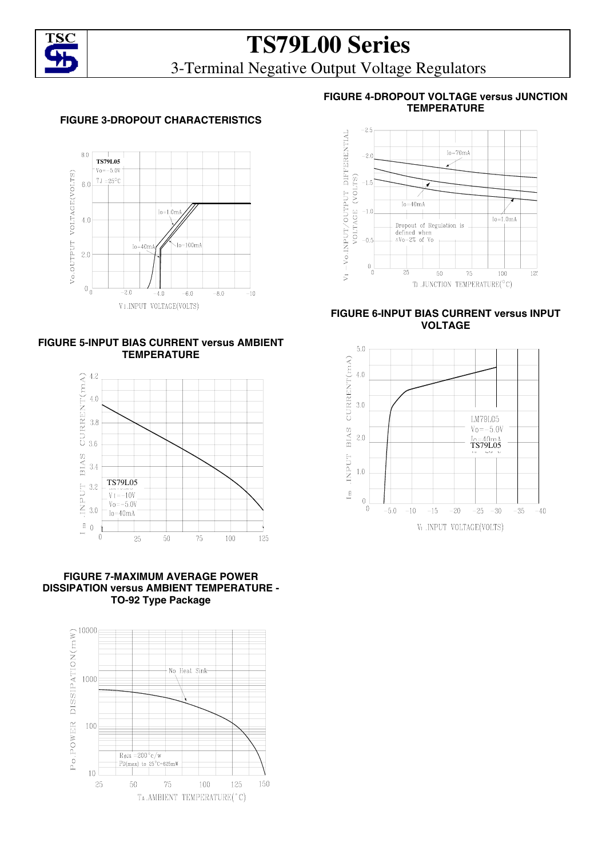

## **TS79L00 Series**  3-Terminal Negative Output Voltage Regulators

### **FIGURE 3-DROPOUT CHARACTERISTICS**







**FIGURE 7-MAXIMUM AVERAGE POWER DISSIPATION versus AMBIENT TEMPERATURE - TO-92 Type Package** 



### **FIGURE 4-DROPOUT VOLTAGE versus JUNCTION TEMPERATURE**



### **FIGURE 6-INPUT BIAS CURRENT versus INPUT VOLTAGE**

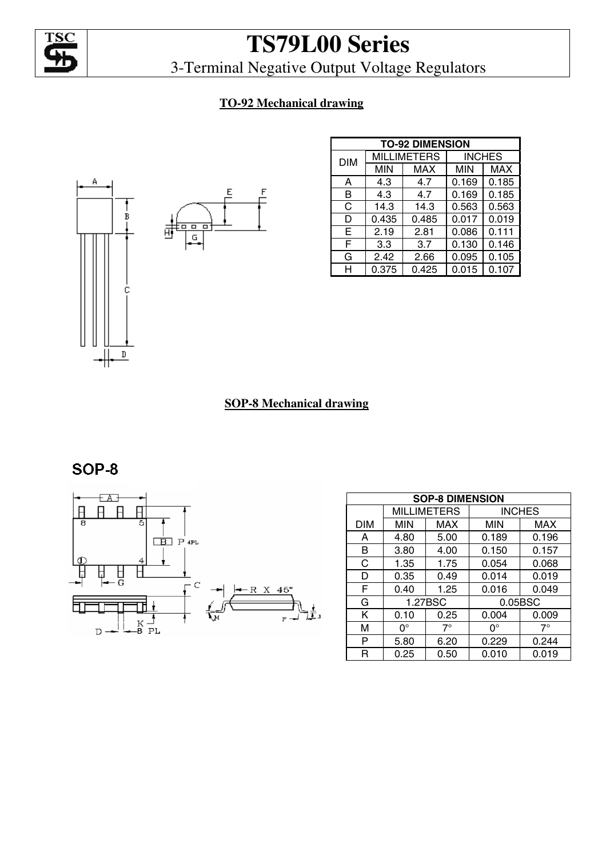

3-Terminal Negative Output Voltage Regulators

### **TO-92 Mechanical drawing**



| <b>TO-92 DIMENSION</b> |       |                    |               |            |  |
|------------------------|-------|--------------------|---------------|------------|--|
| <b>DIM</b>             |       | <b>MILLIMETERS</b> | <b>INCHES</b> |            |  |
|                        | MIN   | <b>MAX</b>         | MIN           | <b>MAX</b> |  |
| A                      | 4.3   | 4.7                | 0.169         | 0.185      |  |
| в                      | 4.3   | 4.7                | 0.169         | 0.185      |  |
| C                      | 14.3  | 14.3               | 0.563         | 0.563      |  |
| D                      | 0.435 | 0.485              | 0.017         | 0.019      |  |
| Е                      | 2.19  | 2.81               | 0.086         | 0.111      |  |
| F                      | 3.3   | 3.7                | 0.130         | 0.146      |  |
| G                      | 2.42  | 2.66               | 0.095         | 0.105      |  |
| н                      | 0.375 | 0.425              | 0.015         | 0.107      |  |

### **SOP-8 Mechanical drawing**

SOP-8



| <b>SOP-8 DIMENSION</b> |             |                    |            |               |  |
|------------------------|-------------|--------------------|------------|---------------|--|
|                        |             | <b>MILLIMETERS</b> |            | <b>INCHES</b> |  |
| DIM                    | <b>MIN</b>  | <b>MAX</b>         | <b>MIN</b> | <b>MAX</b>    |  |
| A                      | 4.80        | 5.00               | 0.189      | 0.196         |  |
| B                      | 3.80        | 4.00               | 0.150      | 0.157         |  |
| C                      | 1.35        | 1.75               | 0.054      | 0.068         |  |
| D                      | 0.35        | 0.49               | 0.014      | 0.019         |  |
| F                      | 0.40        | 1.25               | 0.016      | 0.049         |  |
| G                      |             | 1.27BSC            |            | 0.05BSC       |  |
| K                      | 0.10        | 0.25               | 0.004      | 0.009         |  |
| М                      | $0^{\circ}$ | $7^\circ$          | ∩°         | $7^\circ$     |  |
| P                      | 5.80        | 6.20               | 0.229      | 0.244         |  |
| R                      | 0.25        | 0.50               | 0.010      | 0.019         |  |